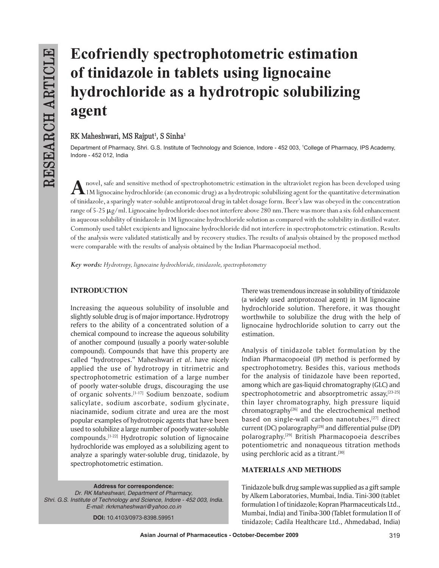# **Ecofriendly spectrophotometric estimation of tinidazole in tablets using lignocaine hydrochloride as a hydrotropic solubilizing agent**

# $RK$  Maheshwari, MS Rajput<sup>1</sup>, S Sinha<sup>1</sup>

Department of Pharmacy, Shri. G.S. Institute of Technology and Science, Indore - 452 003, 1 College of Pharmacy, IPS Academy, Indore - 452 012, India

A novel, safe and sensitive method of spectrophotometric estimation in the ultraviolet region has been developed using<br>1M lignocaine hydrochloride (an economic drug) as a hydrotropic solubilizing agent for the quantitative of tinidazole, a sparingly water-soluble antiprotozoal drug in tablet dosage form. Beer's law was obeyed in the concentration range of  $5-25 \mu g/ml$ . Lignocaine hydrochloride does not interfere above 280 nm. There was more than a six-fold enhancement in aqueous solubility of tinidazole in 1M lignocaine hydrochloride solution as compared with the solubility in distilled water. Commonly used tablet excipients and lignocaine hydrochloride did not interfere in spectrophotometric estimation. Results of the analysis were validated statistically and by recovery studies. The results of analysis obtained by the proposed method were comparable with the results of analysis obtained by the Indian Pharmacopoeial method.

*Key words: Hydrotropy, lignocaine hydrochloride, tinidazole, spectrophotometry*

# **INTRODUCTION**

Increasing the aqueous solubility of insoluble and slightly soluble drug is of major importance. Hydrotropy refers to the ability of a concentrated solution of a chemical compound to increase the aqueous solubility of another compound (usually a poorly water-soluble compound). Compounds that have this property are called "hydrotropes." Maheshwari *et al*. have nicely applied the use of hydrotropy in titrimetric and spectrophotometric estimation of a large number of poorly water-soluble drugs, discouraging the use of organic solvents.<sup>[1-17]</sup> Sodium benzoate, sodium salicylate, sodium ascorbate, sodium glycinate, niacinamide, sodium citrate and urea are the most popular examples of hydrotropic agents that have been used to solubilize a large number of poorly water-soluble compounds.[1-22] Hydrotropic solution of lignocaine hydrochloride was employed as a solubilizing agent to analyze a sparingly water-soluble drug, tinidazole, by spectrophotometric estimation.

**Address for correspondence:** *Dr. RK Maheshwari, Department of Pharmacy, Shri. G.S. Institute of Technology and Science, Indore - 452 003, India. E-mail: rkrkmaheshwari@yahoo.co.in*

**DOI:** 10.4103/0973-8398.59951

There was tremendous increase in solubility of tinidazole (a widely used antiprotozoal agent) in 1M lignocaine hydrochloride solution. Therefore, it was thought worthwhile to solubilize the drug with the help of lignocaine hydrochloride solution to carry out the estimation.

Analysis of tinidazole tablet formulation by the Indian Pharmacopoeial (IP) method is performed by spectrophotometry. Besides this, various methods for the analysis of tinidazole have been reported, among which are gas-liquid chromatography (GLC) and spectrophotometric and absorptrometric assay,  $[23-25]$ thin layer chromatography, high pressure liquid chromatography $[26]$  and the electrochemical method based on single-wall carbon nanotubes,<sup>[27]</sup> direct current (DC) polarography<sup>[28]</sup> and differential pulse (DP) polarography.[29] British Pharmacopoeia describes potentiometric and nonaqueous titration methods using perchloric acid as a titrant.<sup>[30]</sup>

# **MATERIALS AND METHODS**

Tinidazole bulk drug sample was supplied as a gift sample by Alkem Laboratories, Mumbai, India. Tini-300 (tablet formulation I of tinidazole; Kopran Pharmaceuticals Ltd., Mumbai, India) and Tiniba-300 (Tablet formulation II of tinidazole; Cadila Healthcare Ltd., Ahmedabad, India)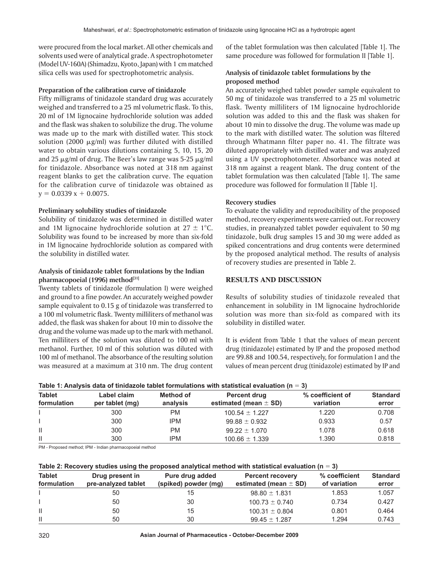were procured from the local market. All other chemicals and solvents used were of analytical grade. A spectrophotometer (Model UV-160A) (Shimadzu, Kyoto, Japan) with 1 cm matched silica cells was used for spectrophotometric analysis.

#### **Preparation of the calibration curve of tinidazole**

Fifty milligrams of tinidazole standard drug was accurately weighed and transferred to a 25 ml volumetric flask. To this, 20 ml of 1M lignocaine hydrochloride solution was added and the flask was shaken to solubilize the drug. The volume was made up to the mark with distilled water. This stock solution (2000  $\mu$ g/ml) was further diluted with distilled water to obtain various dilutions containing 5, 10, 15, 20 and 25  $\mu$ g/ml of drug. The Beer's law range was 5-25  $\mu$ g/ml for tinidazole. Absorbance was noted at 318 nm against reagent blanks to get the calibration curve. The equation for the calibration curve of tinidazole was obtained as  $y = 0.0339 x + 0.0075$ .

#### **Preliminary solubility studies of tinidazole**

Solubility of tinidazole was determined in distilled water and 1M lignocaine hydrochloride solution at  $27 \pm 1^{\circ}$ C. Solubility was found to be increased by more than six-fold in 1M lignocaine hydrochloride solution as compared with the solubility in distilled water.

#### **Analysis of tinidazole tablet formulations by the Indian**  pharmacopoeial (1996) method<sup>[31]</sup>

Twenty tablets of tinidazole (formulation I) were weighed and ground to a fine powder. An accurately weighed powder sample equivalent to 0.15 g of tinidazole was transferred to a 100 ml volumetric flask. Twenty milliliters of methanol was added, the flask was shaken for about 10 min to dissolve the drug and the volume was made up to the mark with methanol. Ten milliliters of the solution was diluted to 100 ml with methanol. Further, 10 ml of this solution was diluted with 100 ml of methanol. The absorbance of the resulting solution was measured at a maximum at 310 nm. The drug content

of the tablet formulation was then calculated [Table 1]. The same procedure was followed for formulation II [Table 1].

## **Analysis of tinidazole tablet formulations by the proposed method**

An accurately weighed tablet powder sample equivalent to 50 mg of tinidazole was transferred to a 25 ml volumetric flask. Twenty milliliters of 1M lignocaine hydrochloride solution was added to this and the flask was shaken for about 10 min to dissolve the drug. The volume was made up to the mark with distilled water. The solution was filtered through Whatmann filter paper no. 41. The filtrate was diluted appropriately with distilled water and was analyzed using a UV spectrophotometer. Absorbance was noted at 318 nm against a reagent blank. The drug content of the tablet formulation was then calculated [Table 1]. The same procedure was followed for formulation II [Table 1].

#### **Recovery studies**

To evaluate the validity and reproducibility of the proposed method, recovery experiments were carried out. For recovery studies, in preanalyzed tablet powder equivalent to 50 mg tinidazole, bulk drug samples 15 and 30 mg were added as spiked concentrations and drug contents were determined by the proposed analytical method. The results of analysis of recovery studies are presented in Table 2.

# **RESULTS AND DISCUSSION**

Results of solubility studies of tinidazole revealed that enhancement in solubility in 1M lignocaine hydrochloride solution was more than six-fold as compared with its solubility in distilled water.

It is evident from Table 1 that the values of mean percent drug (tinidazole) estimated by IP and the proposed method are 99.88 and 100.54, respectively, for formulation I and the values of mean percent drug (tinidazole) estimated by IP and

| Table 1: Analysis data of tinidazole tablet formulations with statistical evaluation ( $n = 3$ ) |                                |                       |                                           |                               |                          |  |
|--------------------------------------------------------------------------------------------------|--------------------------------|-----------------------|-------------------------------------------|-------------------------------|--------------------------|--|
| <b>Tablet</b><br>formulation                                                                     | Label claim<br>per tablet (mg) | Method of<br>analysis | Percent drug<br>estimated (mean $\pm$ SD) | % coefficient of<br>variation | <b>Standard</b><br>error |  |
|                                                                                                  | 300                            | РM                    | $100.54 \pm 1.227$                        | 1.220                         | 0.708                    |  |
|                                                                                                  | 300                            | <b>IPM</b>            | $99.88 \pm 0.932$                         | 0.933                         | 0.57                     |  |
| Ш                                                                                                | 300                            | РM                    | $99.22 \pm 1.070$                         | 1.078                         | 0.618                    |  |
| Ш                                                                                                | 300                            | IPM                   | $100.66 \pm 1.339$                        | 1.390                         | 0.818                    |  |

| Table 1: Analysis data of tinidazole tablet formulations with statistical evaluation ( $n = 3$ ) |  |  |  |  |  |
|--------------------------------------------------------------------------------------------------|--|--|--|--|--|
|--------------------------------------------------------------------------------------------------|--|--|--|--|--|

PM - Proposed method; IPM - Indian pharmacopoeial method

|  |  |  | Table 2: Recovery studies using the proposed analytical method with statistical evaluation (n = 3) |
|--|--|--|----------------------------------------------------------------------------------------------------|
|--|--|--|----------------------------------------------------------------------------------------------------|

| <b>Tablet</b> | Drug present in     | Pure drug added      | <b>Percent recovery</b>   | % coefficient | <b>Standard</b><br>error |
|---------------|---------------------|----------------------|---------------------------|---------------|--------------------------|
| formulation   | pre-analyzed tablet | (spiked) powder (mg) | estimated (mean $\pm$ SD) | of variation  |                          |
|               | 50                  | 15                   | $98.80 \pm 1.831$         | 1.853         | 1.057                    |
|               | 50                  | 30                   | $100.73 \pm 0.740$        | 0.734         | 0.427                    |
| Ш             | 50                  | 15                   | $100.31 \pm 0.804$        | 0.801         | 0.464                    |
| $\mathbf{H}$  | 50                  | 30                   | $99.45 \pm 1.287$         | 1.294         | 0.743                    |